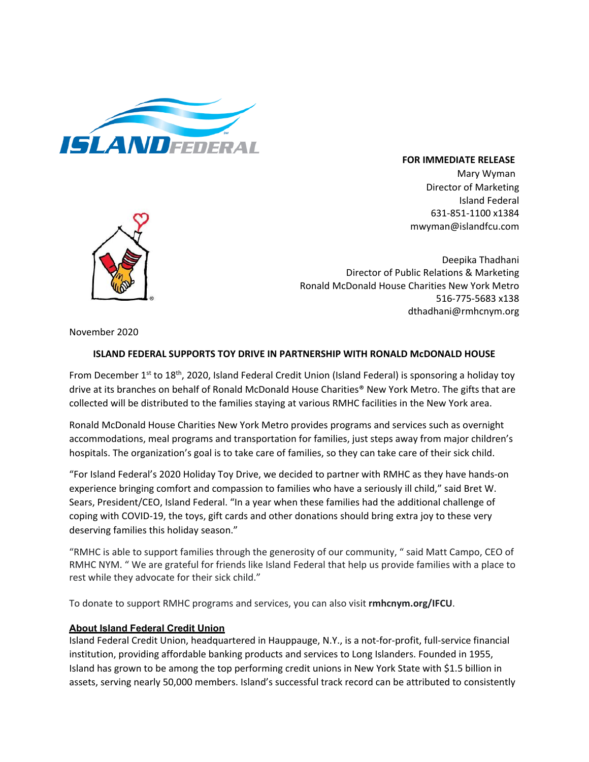

## **FOR IMMEDIATE RELEASE**

Mary Wyman Director of Marketing Island Federal 631-851-1100 x1384 mwyman@islandfcu.com



Deepika Thadhani Director of Public Relations & Marketing Ronald McDonald House Charities New York Metro 516-775-5683 x138 dthadhani@rmhcnym.org

November 2020

## **ISLAND FEDERAL SUPPORTS TOY DRIVE IN PARTNERSHIP WITH RONALD McDONALD HOUSE**

From December  $1^{st}$  to  $18^{th}$ , 2020, Island Federal Credit Union (Island Federal) is sponsoring a holiday toy drive at its branches on behalf of Ronald McDonald House Charities® New York Metro. The gifts that are collected will be distributed to the families staying at various RMHC facilities in the New York area.

Ronald McDonald House Charities New York Metro provides programs and services such as overnight accommodations, meal programs and transportation for families, just steps away from major children's hospitals. The organization's goal is to take care of families, so they can take care of their sick child.

"For Island Federal's 2020 Holiday Toy Drive, we decided to partner with RMHC as they have hands-on experience bringing comfort and compassion to families who have a seriously ill child," said Bret W. Sears, President/CEO, Island Federal. "In a year when these families had the additional challenge of coping with COVID-19, the toys, gift cards and other donations should bring extra joy to these very deserving families this holiday season."

"RMHC is able to support families through the generosity of our community, " said Matt Campo, CEO of RMHC NYM. " We are grateful for friends like Island Federal that help us provide families with a place to rest while they advocate for their sick child."

To donate to support RMHC programs and services, you can also visit **rmhcnym.org/IFCU**.

## **About Island Federal Credit Union**

Island Federal Credit Union, headquartered in Hauppauge, N.Y., is a not-for-profit, full-service financial institution, providing affordable banking products and services to Long Islanders. Founded in 1955, Island has grown to be among the top performing credit unions in New York State with \$1.5 billion in assets, serving nearly 50,000 members. Island's successful track record can be attributed to consistently